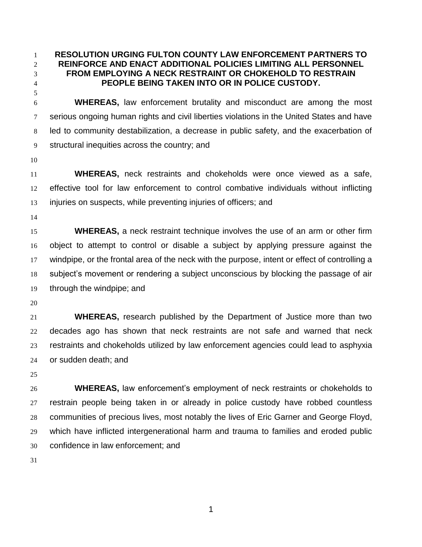**RESOLUTION URGING FULTON COUNTY LAW ENFORCEMENT PARTNERS TO REINFORCE AND ENACT ADDITIONAL POLICIES LIMITING ALL PERSONNEL FROM EMPLOYING A NECK RESTRAINT OR CHOKEHOLD TO RESTRAIN PEOPLE BEING TAKEN INTO OR IN POLICE CUSTODY.**

 **WHEREAS,** law enforcement brutality and misconduct are among the most serious ongoing human rights and civil liberties violations in the United States and have led to community destabilization, a decrease in public safety, and the exacerbation of structural inequities across the country; and

 **WHEREAS,** neck restraints and chokeholds were once viewed as a safe, effective tool for law enforcement to control combative individuals without inflicting injuries on suspects, while preventing injuries of officers; and

 **WHEREAS,** a neck restraint technique involves the use of an arm or other firm object to attempt to control or disable a subject by applying pressure against the windpipe, or the frontal area of the neck with the purpose, intent or effect of controlling a subject's movement or rendering a subject unconscious by blocking the passage of air through the windpipe; and

 **WHEREAS,** research published by the Department of Justice more than two decades ago has shown that neck restraints are not safe and warned that neck restraints and chokeholds utilized by law enforcement agencies could lead to asphyxia or sudden death; and

 **WHEREAS,** law enforcement's employment of neck restraints or chokeholds to restrain people being taken in or already in police custody have robbed countless communities of precious lives, most notably the lives of Eric Garner and George Floyd, which have inflicted intergenerational harm and trauma to families and eroded public confidence in law enforcement; and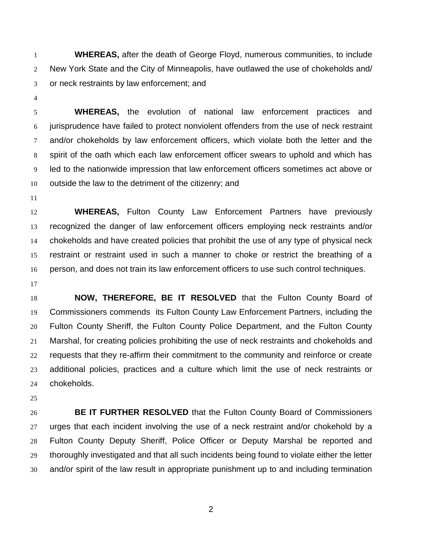**WHEREAS,** after the death of George Floyd, numerous communities, to include New York State and the City of Minneapolis, have outlawed the use of chokeholds and/ or neck restraints by law enforcement; and

 **WHEREAS,** the evolution of national law enforcement practices and jurisprudence have failed to protect nonviolent offenders from the use of neck restraint 7 and/or chokeholds by law enforcement officers, which violate both the letter and the spirit of the oath which each law enforcement officer swears to uphold and which has led to the nationwide impression that law enforcement officers sometimes act above or outside the law to the detriment of the citizenry; and

 **WHEREAS,** Fulton County Law Enforcement Partners have previously recognized the danger of law enforcement officers employing neck restraints and/or chokeholds and have created policies that prohibit the use of any type of physical neck restraint or restraint used in such a manner to choke or restrict the breathing of a person, and does not train its law enforcement officers to use such control techniques.

 **NOW, THEREFORE, BE IT RESOLVED** that the Fulton County Board of Commissioners commends its Fulton County Law Enforcement Partners, including the Fulton County Sheriff, the Fulton County Police Department, and the Fulton County Marshal, for creating policies prohibiting the use of neck restraints and chokeholds and requests that they re-affirm their commitment to the community and reinforce or create additional policies, practices and a culture which limit the use of neck restraints or chokeholds.

 **BE IT FURTHER RESOLVED** that the Fulton County Board of Commissioners urges that each incident involving the use of a neck restraint and/or chokehold by a Fulton County Deputy Sheriff, Police Officer or Deputy Marshal be reported and thoroughly investigated and that all such incidents being found to violate either the letter and/or spirit of the law result in appropriate punishment up to and including termination